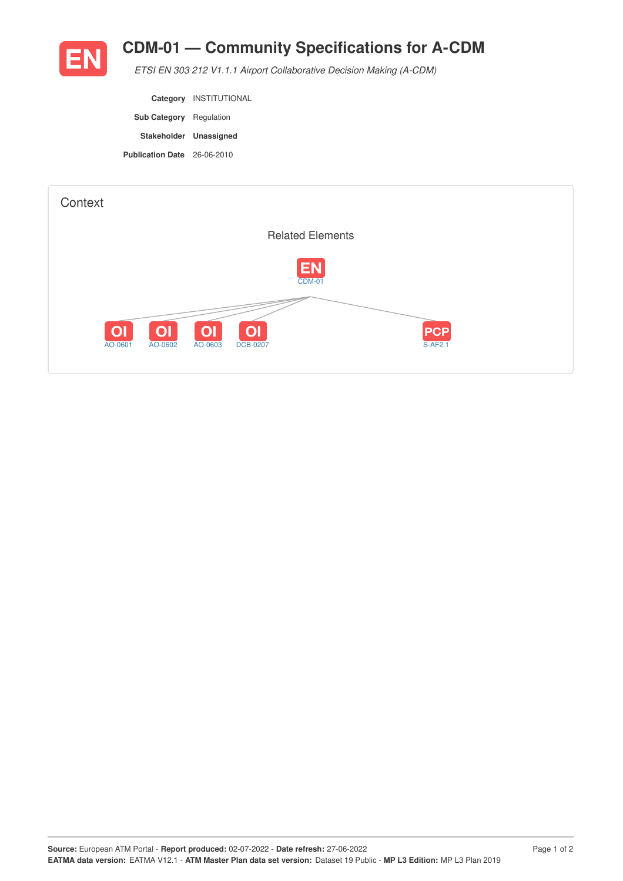

## **CDM-01 — Community Specifications for A-CDM**

*ETSI EN 303 212 V1.1.1 Airport Collaborative Decision Making (A-CDM)*

|                                    | Category INSTITUTIONAL |
|------------------------------------|------------------------|
| <b>Sub Category</b> Regulation     |                        |
| Stakeholder Unassigned             |                        |
| <b>Publication Date</b> 26-06-2010 |                        |